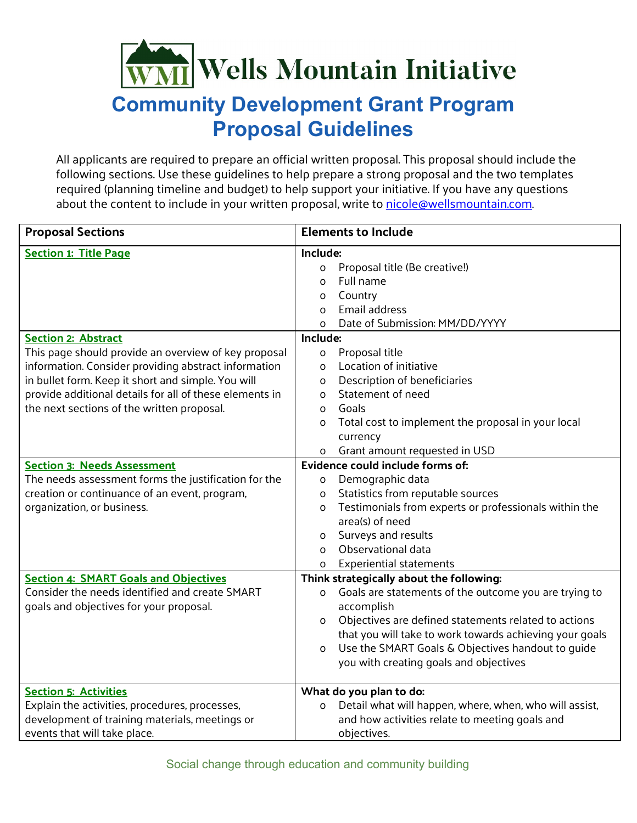## WMI Wells Mountain Initiative

## **Community Development Grant Program Proposal Guidelines**

All applicants are required to prepare an official written proposal. This proposal should include the following sections. Use these guidelines to help prepare a strong proposal and the two templates required (planning timeline and budget) to help support your initiative. If you have any questions about the content to include in your written proposal, write to [nicole@wellsmountain.com.](mailto:nicole@wellsmountain.com)

| <b>Proposal Sections</b>                                | <b>Elements to Include</b>                                             |  |  |
|---------------------------------------------------------|------------------------------------------------------------------------|--|--|
| <b>Section 1: Title Page</b>                            | Include:                                                               |  |  |
|                                                         | Proposal title (Be creative!)<br>o                                     |  |  |
|                                                         | Full name<br>O                                                         |  |  |
|                                                         | Country<br>O                                                           |  |  |
|                                                         | Email address<br>$\Omega$                                              |  |  |
|                                                         | Date of Submission: MM/DD/YYYY<br>$\Omega$                             |  |  |
| <b>Section 2: Abstract</b>                              | Include:                                                               |  |  |
| This page should provide an overview of key proposal    | Proposal title<br>o                                                    |  |  |
| information. Consider providing abstract information    | Location of initiative<br>$\Omega$                                     |  |  |
| in bullet form. Keep it short and simple. You will      | Description of beneficiaries<br>O                                      |  |  |
| provide additional details for all of these elements in | Statement of need<br>$\Omega$                                          |  |  |
| the next sections of the written proposal.              | Goals<br>$\Omega$                                                      |  |  |
|                                                         | Total cost to implement the proposal in your local<br>O                |  |  |
|                                                         | currency                                                               |  |  |
|                                                         | Grant amount requested in USD<br>$\mathsf{o}$                          |  |  |
| <b>Section 3: Needs Assessment</b>                      | Evidence could include forms of:                                       |  |  |
| The needs assessment forms the justification for the    | Demographic data<br>0                                                  |  |  |
| creation or continuance of an event, program,           | Statistics from reputable sources<br>o                                 |  |  |
| organization, or business.                              | Testimonials from experts or professionals within the<br>O             |  |  |
|                                                         | area(s) of need                                                        |  |  |
|                                                         | Surveys and results<br>0                                               |  |  |
|                                                         | Observational data<br>O                                                |  |  |
|                                                         | <b>Experiential statements</b><br>0                                    |  |  |
| <b>Section 4: SMART Goals and Objectives</b>            | Think strategically about the following:                               |  |  |
| Consider the needs identified and create SMART          | Goals are statements of the outcome you are trying to<br>O             |  |  |
| goals and objectives for your proposal.                 | accomplish                                                             |  |  |
|                                                         | Objectives are defined statements related to actions<br>O              |  |  |
|                                                         | that you will take to work towards achieving your goals                |  |  |
|                                                         | Use the SMART Goals & Objectives handout to guide<br>O                 |  |  |
|                                                         | you with creating goals and objectives                                 |  |  |
|                                                         |                                                                        |  |  |
| <b>Section 5: Activities</b>                            | What do you plan to do:                                                |  |  |
| Explain the activities, procedures, processes,          | Detail what will happen, where, when, who will assist,<br>$\mathsf{o}$ |  |  |
| development of training materials, meetings or          | and how activities relate to meeting goals and                         |  |  |
| events that will take place.                            | objectives.                                                            |  |  |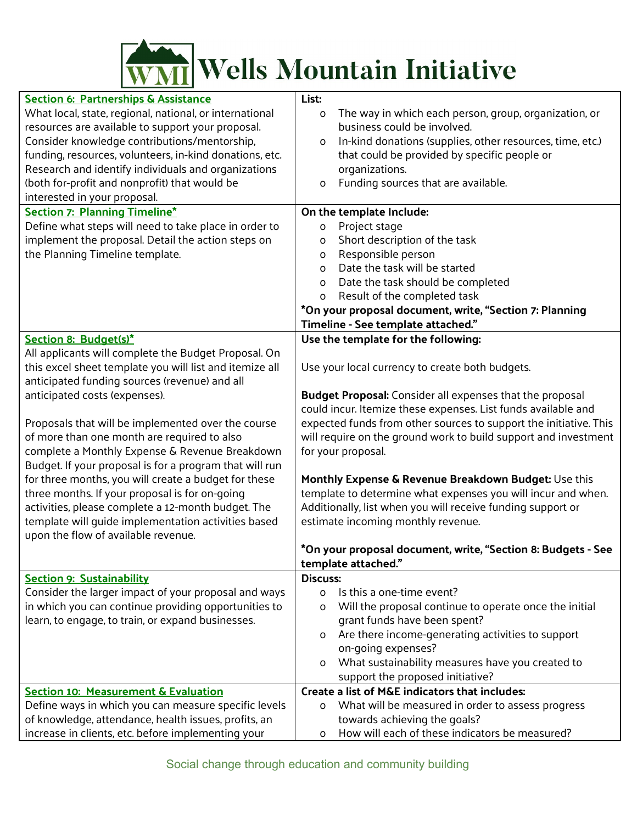

| <b>Section 6: Partnerships &amp; Assistance</b><br>What local, state, regional, national, or international<br>resources are available to support your proposal.<br>Consider knowledge contributions/mentorship,<br>funding, resources, volunteers, in-kind donations, etc.<br>Research and identify individuals and organizations<br>(both for-profit and nonprofit) that would be<br>interested in your proposal.<br><b>Section 7: Planning Timeline*</b><br>Define what steps will need to take place in order to<br>implement the proposal. Detail the action steps on<br>the Planning Timeline template.                                                                                               | List:<br>The way in which each person, group, organization, or<br>o<br>business could be involved.<br>In-kind donations (supplies, other resources, time, etc.)<br>o<br>that could be provided by specific people or<br>organizations.<br>Funding sources that are available.<br>o<br>On the template Include:<br>Project stage<br>O<br>Short description of the task<br>O<br>Responsible person<br>O<br>Date the task will be started<br>$\Omega$<br>Date the task should be completed<br>$\Omega$<br>Result of the completed task<br>0<br>*On your proposal document, write, "Section 7: Planning<br>Timeline - See template attached."                             |
|------------------------------------------------------------------------------------------------------------------------------------------------------------------------------------------------------------------------------------------------------------------------------------------------------------------------------------------------------------------------------------------------------------------------------------------------------------------------------------------------------------------------------------------------------------------------------------------------------------------------------------------------------------------------------------------------------------|-----------------------------------------------------------------------------------------------------------------------------------------------------------------------------------------------------------------------------------------------------------------------------------------------------------------------------------------------------------------------------------------------------------------------------------------------------------------------------------------------------------------------------------------------------------------------------------------------------------------------------------------------------------------------|
|                                                                                                                                                                                                                                                                                                                                                                                                                                                                                                                                                                                                                                                                                                            | Use the template for the following:                                                                                                                                                                                                                                                                                                                                                                                                                                                                                                                                                                                                                                   |
| Section 8: Budget(s)*<br>All applicants will complete the Budget Proposal. On<br>this excel sheet template you will list and itemize all<br>anticipated funding sources (revenue) and all<br>anticipated costs (expenses).<br>Proposals that will be implemented over the course<br>of more than one month are required to also<br>complete a Monthly Expense & Revenue Breakdown<br>Budget. If your proposal is for a program that will run<br>for three months, you will create a budget for these<br>three months. If your proposal is for on-going<br>activities, please complete a 12-month budget. The<br>template will guide implementation activities based<br>upon the flow of available revenue. | Use your local currency to create both budgets.<br><b>Budget Proposal:</b> Consider all expenses that the proposal<br>could incur. Itemize these expenses. List funds available and<br>expected funds from other sources to support the initiative. This<br>will require on the ground work to build support and investment<br>for your proposal.<br>Monthly Expense & Revenue Breakdown Budget: Use this<br>template to determine what expenses you will incur and when.<br>Additionally, list when you will receive funding support or<br>estimate incoming monthly revenue.<br>*On your proposal document, write, "Section 8: Budgets - See<br>template attached." |
| <b>Section 9: Sustainability</b>                                                                                                                                                                                                                                                                                                                                                                                                                                                                                                                                                                                                                                                                           | <b>Discuss:</b>                                                                                                                                                                                                                                                                                                                                                                                                                                                                                                                                                                                                                                                       |
| Consider the larger impact of your proposal and ways<br>in which you can continue providing opportunities to<br>learn, to engage, to train, or expand businesses.                                                                                                                                                                                                                                                                                                                                                                                                                                                                                                                                          | Is this a one-time event?<br>0<br>Will the proposal continue to operate once the initial<br>O<br>grant funds have been spent?<br>Are there income-generating activities to support<br>0<br>on-going expenses?<br>What sustainability measures have you created to<br>0<br>support the proposed initiative?                                                                                                                                                                                                                                                                                                                                                            |
| <b>Section 10: Measurement &amp; Evaluation</b>                                                                                                                                                                                                                                                                                                                                                                                                                                                                                                                                                                                                                                                            | Create a list of M&E indicators that includes:                                                                                                                                                                                                                                                                                                                                                                                                                                                                                                                                                                                                                        |
| Define ways in which you can measure specific levels<br>of knowledge, attendance, health issues, profits, an                                                                                                                                                                                                                                                                                                                                                                                                                                                                                                                                                                                               | What will be measured in order to assess progress<br>0<br>towards achieving the goals?                                                                                                                                                                                                                                                                                                                                                                                                                                                                                                                                                                                |
| increase in clients, etc. before implementing your                                                                                                                                                                                                                                                                                                                                                                                                                                                                                                                                                                                                                                                         | How will each of these indicators be measured?<br>0                                                                                                                                                                                                                                                                                                                                                                                                                                                                                                                                                                                                                   |